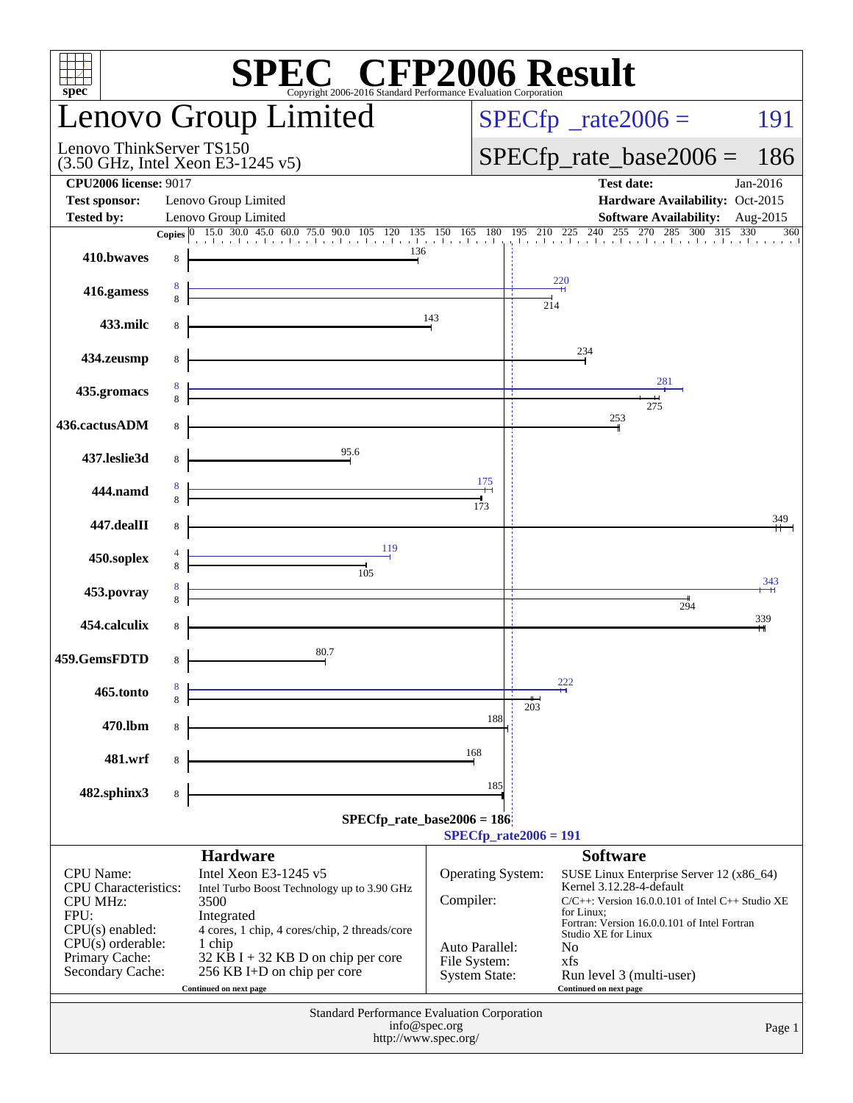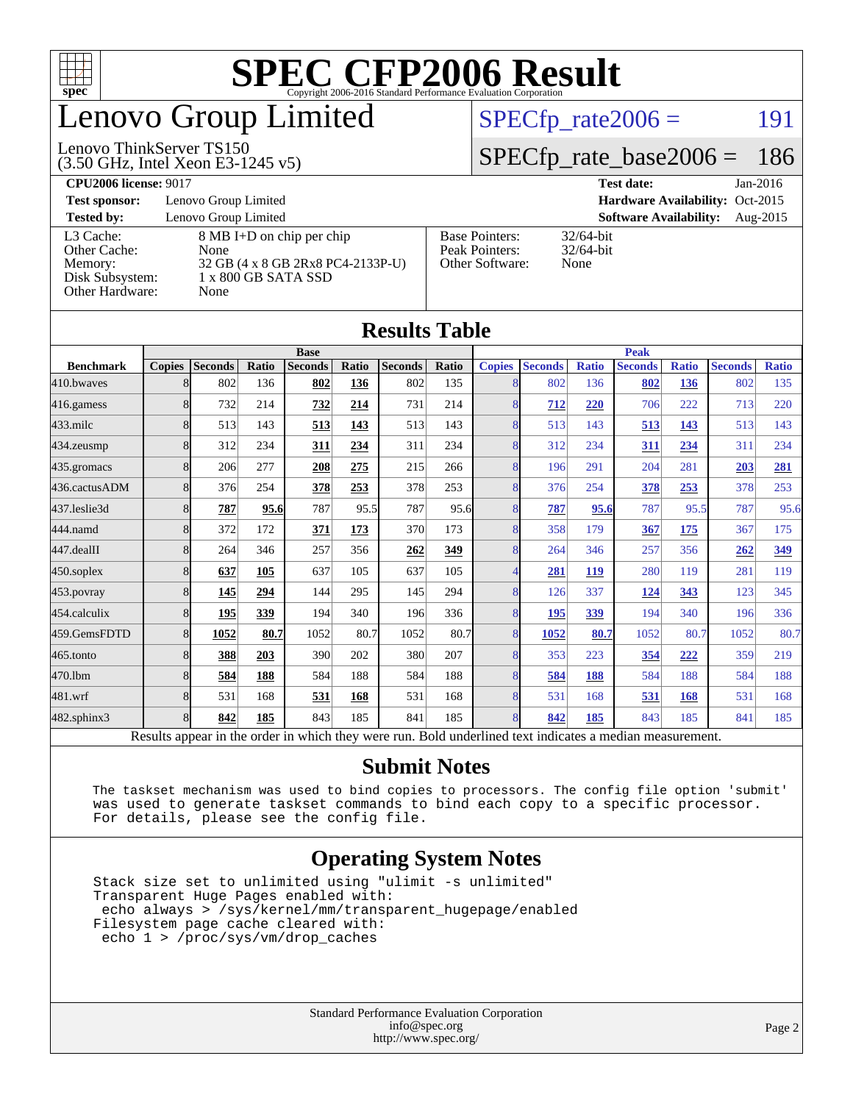

## enovo Group Limited

#### (3.50 GHz, Intel Xeon E3-1245 v5) Lenovo ThinkServer TS150

 $SPECTp_rate2006 =$  191

#### [SPECfp\\_rate\\_base2006 =](http://www.spec.org/auto/cpu2006/Docs/result-fields.html#SPECfpratebase2006) 186

**[CPU2006 license:](http://www.spec.org/auto/cpu2006/Docs/result-fields.html#CPU2006license)** 9017 **[Test date:](http://www.spec.org/auto/cpu2006/Docs/result-fields.html#Testdate)** Jan-2016

**[Test sponsor:](http://www.spec.org/auto/cpu2006/Docs/result-fields.html#Testsponsor)** Lenovo Group Limited **[Hardware Availability:](http://www.spec.org/auto/cpu2006/Docs/result-fields.html#HardwareAvailability)** Oct-2015

**[Tested by:](http://www.spec.org/auto/cpu2006/Docs/result-fields.html#Testedby)** Lenovo Group Limited **[Software Availability:](http://www.spec.org/auto/cpu2006/Docs/result-fields.html#SoftwareAvailability)** Aug-2015

[Other Cache:](http://www.spec.org/auto/cpu2006/Docs/result-fields.html#OtherCache) [Other Hardware:](http://www.spec.org/auto/cpu2006/Docs/result-fields.html#OtherHardware) None

[L3 Cache:](http://www.spec.org/auto/cpu2006/Docs/result-fields.html#L3Cache) 8 MB I+D on chip per chip<br>Other Cache: None [Memory:](http://www.spec.org/auto/cpu2006/Docs/result-fields.html#Memory) 32 GB (4 x 8 GB 2Rx8 PC4-2133P-U) [Disk Subsystem:](http://www.spec.org/auto/cpu2006/Docs/result-fields.html#DiskSubsystem) 1 x 800 GB SATA SSD

| <b>Base Pointers:</b> | $32/64$ -bit |
|-----------------------|--------------|
| Peak Pointers:        | $32/64$ -bit |
| Other Software:       | None         |
|                       |              |

32/64-bit

| Results Table                                                                                            |               |                |       |                |       |                |              |               |                |              |                |              |                |              |
|----------------------------------------------------------------------------------------------------------|---------------|----------------|-------|----------------|-------|----------------|--------------|---------------|----------------|--------------|----------------|--------------|----------------|--------------|
|                                                                                                          |               |                |       | <b>Base</b>    |       |                |              | <b>Peak</b>   |                |              |                |              |                |              |
| <b>Benchmark</b>                                                                                         | <b>Copies</b> | <b>Seconds</b> | Ratio | <b>Seconds</b> | Ratio | <b>Seconds</b> | <b>Ratio</b> | <b>Copies</b> | <b>Seconds</b> | <b>Ratio</b> | <b>Seconds</b> | <b>Ratio</b> | <b>Seconds</b> | <b>Ratio</b> |
| 410.bwayes                                                                                               |               | 802            | 136   | 802            | 136   | 802            | 135          |               | 802            | 136          | 802            | 136          | 802            | 135          |
| 416.gamess                                                                                               |               | 732            | 214   | 732            | 214   | 731            | 214          |               | 712            | 220          | 706            | 222          | 713            | 220          |
| $433$ .milc                                                                                              |               | 513            | 143   | 513            | 143   | 513            | 143          | 8             | 513            | 143          | 513            | 143          | 513            | 143          |
| 434.zeusmp                                                                                               |               | 312            | 234   | 311            | 234   | 311            | 234          | 8             | 312            | 234          | 311            | 234          | 311            | 234          |
| 435.gromacs                                                                                              |               | 206            | 277   | 208            | 275   | 215            | 266          |               | 196            | 291          | 204            | 281          | 203            | 281          |
| 436.cactusADM                                                                                            |               | 376            | 254   | 378            | 253   | 378            | 253          |               | 376            | 254          | 378            | 253          | 378            | 253          |
| 437.leslie3d                                                                                             |               | 787            | 95.6  | 787            | 95.5  | 787            | 95.6         |               | 787            | 95.6         | 787            | 95.5         | 787            | 95.6         |
| 444.namd                                                                                                 |               | 372            | 172   | 371            | 173   | 370            | 173          | 8             | 358            | 179          | 367            | 175          | 367            | 175          |
| 447.dealII                                                                                               |               | 264            | 346   | 257            | 356   | 262            | 349          | 8             | 264            | 346          | 257            | 356          | 262            | 349          |
| 450.soplex                                                                                               |               | 637            | 105   | 637            | 105   | 637            | 105          |               | 281            | 119          | 280            | 119          | 281            | 119          |
| 453.povray                                                                                               |               | 145            | 294   | 144            | 295   | 145            | 294          | 8             | 126            | 337          | <u>124</u>     | 343          | 123            | 345          |
| 454.calculix                                                                                             |               | 195            | 339   | 194            | 340   | 196            | 336          |               | 195            | 339          | 194            | 340          | 196            | 336          |
| 459.GemsFDTD                                                                                             |               | 1052           | 80.7  | 1052           | 80.7  | 1052           | 80.7         | 8             | 1052           | 80.7         | 1052           | 80.7         | 1052           | 80.7         |
| 465.tonto                                                                                                |               | 388            | 203   | 390            | 202   | 380            | 207          | 8             | 353            | 223          | 354            | 222          | 359            | 219          |
| 470.1bm                                                                                                  |               | 584            | 188   | 584            | 188   | 584            | 188          | 8             | 584            | 188          | 584            | 188          | 584            | 188          |
| 481.wrf                                                                                                  |               | 531            | 168   | 531            | 168   | 531            | 168          |               | 531            | 168          | 531            | 168          | 531            | 168          |
| 482.sphinx3                                                                                              | 8             | 842            | 185   | 843            | 185   | 841            | 185          |               | 842            | 185          | 843            | 185          | 841            | 185          |
| Results appear in the order in which they were run. Bold underlined text indicates a median measurement. |               |                |       |                |       |                |              |               |                |              |                |              |                |              |

**[Results Table](http://www.spec.org/auto/cpu2006/Docs/result-fields.html#ResultsTable)**

#### **[Submit Notes](http://www.spec.org/auto/cpu2006/Docs/result-fields.html#SubmitNotes)**

 The taskset mechanism was used to bind copies to processors. The config file option 'submit' was used to generate taskset commands to bind each copy to a specific processor. For details, please see the config file.

#### **[Operating System Notes](http://www.spec.org/auto/cpu2006/Docs/result-fields.html#OperatingSystemNotes)**

 Stack size set to unlimited using "ulimit -s unlimited" Transparent Huge Pages enabled with: echo always > /sys/kernel/mm/transparent\_hugepage/enabled Filesystem page cache cleared with: echo 1 > /proc/sys/vm/drop\_caches

> Standard Performance Evaluation Corporation [info@spec.org](mailto:info@spec.org) <http://www.spec.org/>

#### Page 2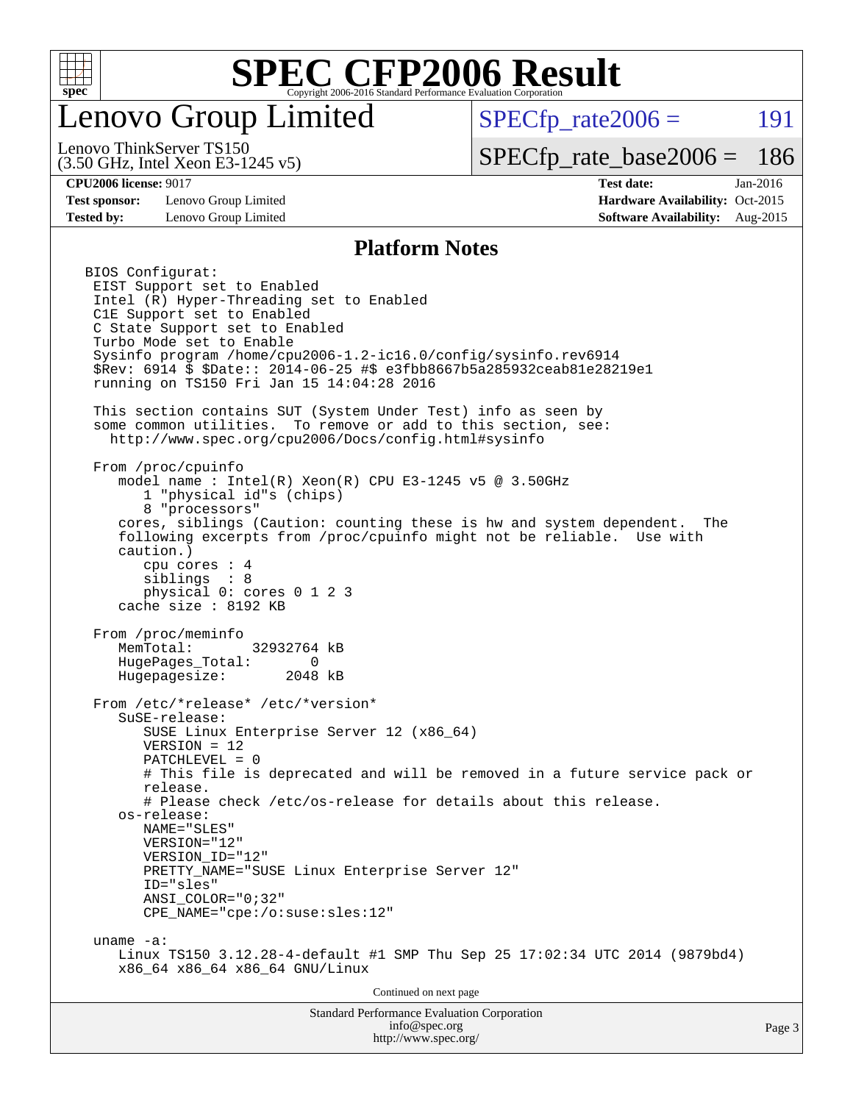

## enovo Group Limited

 $SPECTp\_rate2006 = 191$ 

(3.50 GHz, Intel Xeon E3-1245 v5) Lenovo ThinkServer TS150

[SPECfp\\_rate\\_base2006 =](http://www.spec.org/auto/cpu2006/Docs/result-fields.html#SPECfpratebase2006) 186

**[Test sponsor:](http://www.spec.org/auto/cpu2006/Docs/result-fields.html#Testsponsor)** Lenovo Group Limited **[Hardware Availability:](http://www.spec.org/auto/cpu2006/Docs/result-fields.html#HardwareAvailability)** Oct-2015

**[CPU2006 license:](http://www.spec.org/auto/cpu2006/Docs/result-fields.html#CPU2006license)** 9017 **[Test date:](http://www.spec.org/auto/cpu2006/Docs/result-fields.html#Testdate)** Jan-2016 **[Tested by:](http://www.spec.org/auto/cpu2006/Docs/result-fields.html#Testedby)** Lenovo Group Limited **[Software Availability:](http://www.spec.org/auto/cpu2006/Docs/result-fields.html#SoftwareAvailability)** Aug-2015

#### **[Platform Notes](http://www.spec.org/auto/cpu2006/Docs/result-fields.html#PlatformNotes)**

Standard Performance Evaluation Corporation [info@spec.org](mailto:info@spec.org) BIOS Configurat: EIST Support set to Enabled Intel (R) Hyper-Threading set to Enabled C1E Support set to Enabled C State Support set to Enabled Turbo Mode set to Enable Sysinfo program /home/cpu2006-1.2-ic16.0/config/sysinfo.rev6914 \$Rev: 6914 \$ \$Date:: 2014-06-25 #\$ e3fbb8667b5a285932ceab81e28219e1 running on TS150 Fri Jan 15 14:04:28 2016 This section contains SUT (System Under Test) info as seen by some common utilities. To remove or add to this section, see: <http://www.spec.org/cpu2006/Docs/config.html#sysinfo> From /proc/cpuinfo model name : Intel(R) Xeon(R) CPU E3-1245 v5 @ 3.50GHz 1 "physical id"s (chips) 8 "processors" cores, siblings (Caution: counting these is hw and system dependent. The following excerpts from /proc/cpuinfo might not be reliable. Use with caution.) cpu cores : 4 siblings : 8 physical 0: cores 0 1 2 3 cache size : 8192 KB From /proc/meminfo MemTotal: 32932764 kB HugePages\_Total: 0 Hugepagesize: 2048 kB From /etc/\*release\* /etc/\*version\* SuSE-release: SUSE Linux Enterprise Server 12 (x86\_64) VERSION = 12 PATCHLEVEL = 0 # This file is deprecated and will be removed in a future service pack or release. # Please check /etc/os-release for details about this release. os-release: NAME="SLES" VERSION="12" VERSION\_ID="12" PRETTY\_NAME="SUSE\_Linux Enterprise Server 12" ID="sles" ANSI\_COLOR="0;32" CPE\_NAME="cpe:/o:suse:sles:12" uname -a: Linux TS150 3.12.28-4-default #1 SMP Thu Sep 25 17:02:34 UTC 2014 (9879bd4) x86\_64 x86\_64 x86\_64 GNU/Linux Continued on next page

<http://www.spec.org/>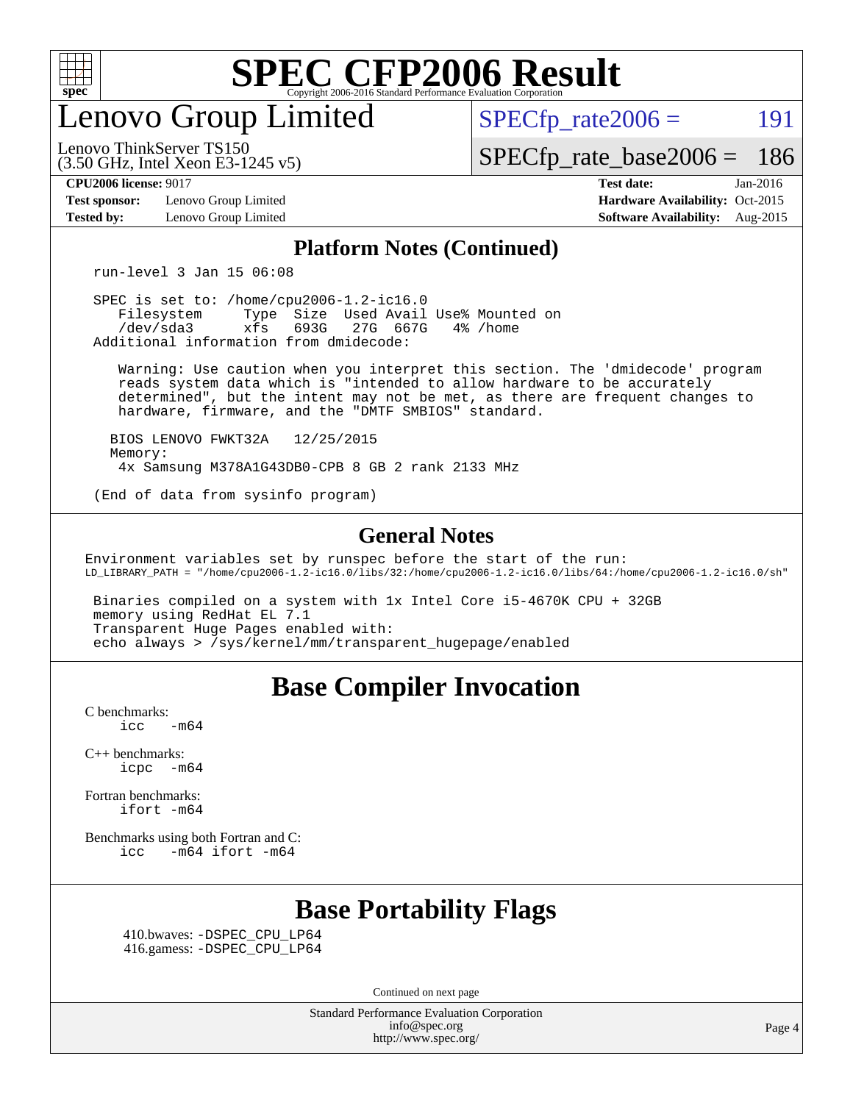

enovo Group Limited

 $SPECTp\_rate2006 = 191$ 

[SPECfp\\_rate\\_base2006 =](http://www.spec.org/auto/cpu2006/Docs/result-fields.html#SPECfpratebase2006) 186

**[Test sponsor:](http://www.spec.org/auto/cpu2006/Docs/result-fields.html#Testsponsor)** Lenovo Group Limited **[Hardware Availability:](http://www.spec.org/auto/cpu2006/Docs/result-fields.html#HardwareAvailability)** Oct-2015

(3.50 GHz, Intel Xeon E3-1245 v5)

Lenovo ThinkServer TS150

**[CPU2006 license:](http://www.spec.org/auto/cpu2006/Docs/result-fields.html#CPU2006license)** 9017 **[Test date:](http://www.spec.org/auto/cpu2006/Docs/result-fields.html#Testdate)** Jan-2016 **[Tested by:](http://www.spec.org/auto/cpu2006/Docs/result-fields.html#Testedby)** Lenovo Group Limited **[Software Availability:](http://www.spec.org/auto/cpu2006/Docs/result-fields.html#SoftwareAvailability)** Aug-2015

#### **[Platform Notes \(Continued\)](http://www.spec.org/auto/cpu2006/Docs/result-fields.html#PlatformNotes)**

run-level 3 Jan 15 06:08

 SPEC is set to: /home/cpu2006-1.2-ic16.0 Filesystem Type Size Used Avail Use% Mounted on<br>
/dev/sda3 xfs 693G 27G 667G 4% /home 27G 667G Additional information from dmidecode:

 Warning: Use caution when you interpret this section. The 'dmidecode' program reads system data which is "intended to allow hardware to be accurately determined", but the intent may not be met, as there are frequent changes to hardware, firmware, and the "DMTF SMBIOS" standard.

 BIOS LENOVO FWKT32A 12/25/2015 Memory: 4x Samsung M378A1G43DB0-CPB 8 GB 2 rank 2133 MHz

(End of data from sysinfo program)

#### **[General Notes](http://www.spec.org/auto/cpu2006/Docs/result-fields.html#GeneralNotes)**

Environment variables set by runspec before the start of the run: LD\_LIBRARY\_PATH = "/home/cpu2006-1.2-ic16.0/libs/32:/home/cpu2006-1.2-ic16.0/libs/64:/home/cpu2006-1.2-ic16.0/sh"

 Binaries compiled on a system with 1x Intel Core i5-4670K CPU + 32GB memory using RedHat EL 7.1 Transparent Huge Pages enabled with: echo always > /sys/kernel/mm/transparent\_hugepage/enabled

#### **[Base Compiler Invocation](http://www.spec.org/auto/cpu2006/Docs/result-fields.html#BaseCompilerInvocation)**

[C benchmarks](http://www.spec.org/auto/cpu2006/Docs/result-fields.html#Cbenchmarks):  $\text{icc}$  -m64

[C++ benchmarks:](http://www.spec.org/auto/cpu2006/Docs/result-fields.html#CXXbenchmarks) [icpc -m64](http://www.spec.org/cpu2006/results/res2016q1/cpu2006-20160125-38861.flags.html#user_CXXbase_intel_icpc_64bit_bedb90c1146cab66620883ef4f41a67e)

[Fortran benchmarks](http://www.spec.org/auto/cpu2006/Docs/result-fields.html#Fortranbenchmarks): [ifort -m64](http://www.spec.org/cpu2006/results/res2016q1/cpu2006-20160125-38861.flags.html#user_FCbase_intel_ifort_64bit_ee9d0fb25645d0210d97eb0527dcc06e)

[Benchmarks using both Fortran and C](http://www.spec.org/auto/cpu2006/Docs/result-fields.html#BenchmarksusingbothFortranandC): [icc -m64](http://www.spec.org/cpu2006/results/res2016q1/cpu2006-20160125-38861.flags.html#user_CC_FCbase_intel_icc_64bit_0b7121f5ab7cfabee23d88897260401c) [ifort -m64](http://www.spec.org/cpu2006/results/res2016q1/cpu2006-20160125-38861.flags.html#user_CC_FCbase_intel_ifort_64bit_ee9d0fb25645d0210d97eb0527dcc06e)

## **[Base Portability Flags](http://www.spec.org/auto/cpu2006/Docs/result-fields.html#BasePortabilityFlags)**

 410.bwaves: [-DSPEC\\_CPU\\_LP64](http://www.spec.org/cpu2006/results/res2016q1/cpu2006-20160125-38861.flags.html#suite_basePORTABILITY410_bwaves_DSPEC_CPU_LP64) 416.gamess: [-DSPEC\\_CPU\\_LP64](http://www.spec.org/cpu2006/results/res2016q1/cpu2006-20160125-38861.flags.html#suite_basePORTABILITY416_gamess_DSPEC_CPU_LP64)

Continued on next page

Standard Performance Evaluation Corporation [info@spec.org](mailto:info@spec.org) <http://www.spec.org/>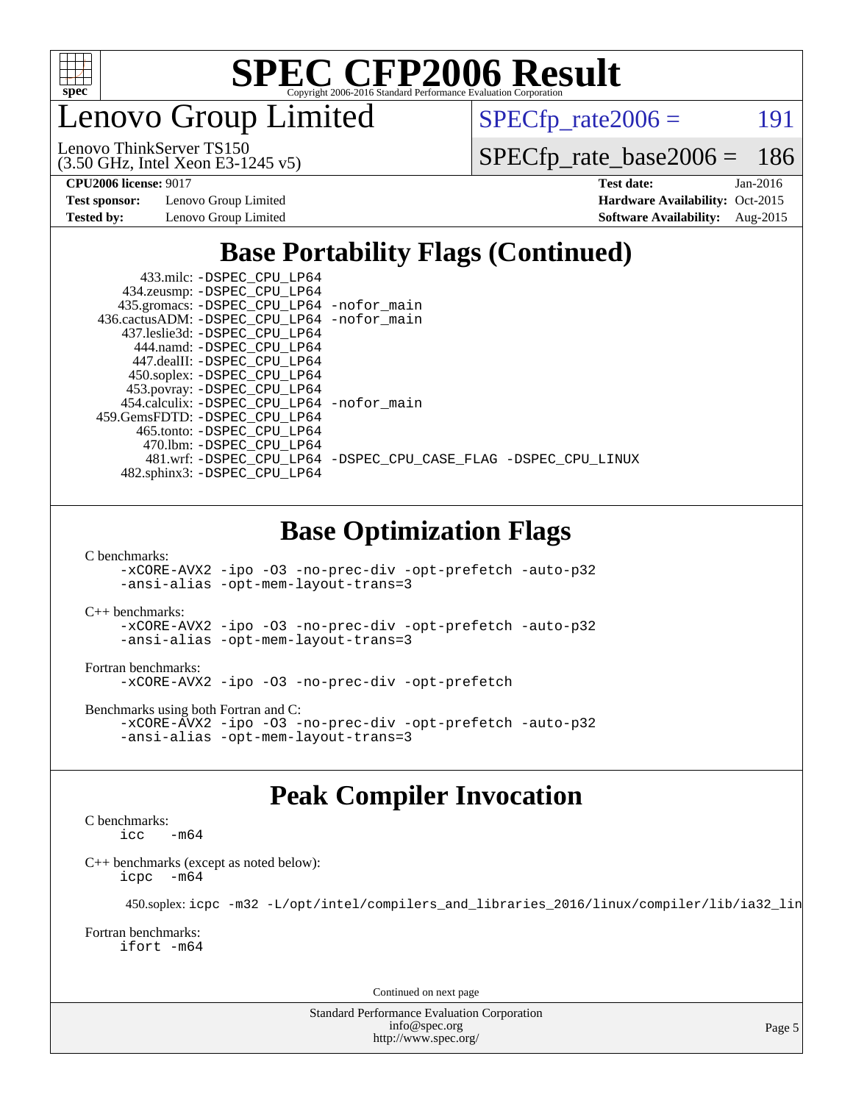

enovo Group Limited

 $SPECTp_rate2006 = 191$ 

(3.50 GHz, Intel Xeon E3-1245 v5) Lenovo ThinkServer TS150

[SPECfp\\_rate\\_base2006 =](http://www.spec.org/auto/cpu2006/Docs/result-fields.html#SPECfpratebase2006) 186

**[Test sponsor:](http://www.spec.org/auto/cpu2006/Docs/result-fields.html#Testsponsor)** Lenovo Group Limited **[Hardware Availability:](http://www.spec.org/auto/cpu2006/Docs/result-fields.html#HardwareAvailability)** Oct-2015

**[CPU2006 license:](http://www.spec.org/auto/cpu2006/Docs/result-fields.html#CPU2006license)** 9017 **[Test date:](http://www.spec.org/auto/cpu2006/Docs/result-fields.html#Testdate)** Jan-2016 **[Tested by:](http://www.spec.org/auto/cpu2006/Docs/result-fields.html#Testedby)** Lenovo Group Limited **[Software Availability:](http://www.spec.org/auto/cpu2006/Docs/result-fields.html#SoftwareAvailability)** Aug-2015

## **[Base Portability Flags \(Continued\)](http://www.spec.org/auto/cpu2006/Docs/result-fields.html#BasePortabilityFlags)**

| 433.milc: -DSPEC CPU LP64<br>434.zeusmp: -DSPEC_CPU_LP64                      |                                                                |
|-------------------------------------------------------------------------------|----------------------------------------------------------------|
| 435.gromacs: -DSPEC_CPU_LP64 -nofor_main                                      |                                                                |
| 436.cactusADM: - DSPEC CPU LP64 - nofor main<br>437.leslie3d: -DSPEC CPU LP64 |                                                                |
| 444.namd: - DSPEC CPU LP64                                                    |                                                                |
| 447.dealII: -DSPEC CPU LP64                                                   |                                                                |
| 450.soplex: -DSPEC_CPU_LP64                                                   |                                                                |
| 453.povray: -DSPEC_CPU_LP64                                                   |                                                                |
| 454.calculix: - DSPEC CPU LP64 - nofor main                                   |                                                                |
| 459. GemsFDTD: - DSPEC CPU LP64                                               |                                                                |
| 465.tonto: - DSPEC CPU LP64                                                   |                                                                |
| 470.1bm: -DSPEC CPU LP64                                                      |                                                                |
|                                                                               | 481.wrf: -DSPEC CPU_LP64 -DSPEC_CPU_CASE_FLAG -DSPEC_CPU_LINUX |
| 482.sphinx3: -DSPEC_CPU_LP64                                                  |                                                                |
|                                                                               |                                                                |
|                                                                               |                                                                |

### **[Base Optimization Flags](http://www.spec.org/auto/cpu2006/Docs/result-fields.html#BaseOptimizationFlags)**

[C benchmarks](http://www.spec.org/auto/cpu2006/Docs/result-fields.html#Cbenchmarks):

[-xCORE-AVX2](http://www.spec.org/cpu2006/results/res2016q1/cpu2006-20160125-38861.flags.html#user_CCbase_f-xAVX2_5f5fc0cbe2c9f62c816d3e45806c70d7) [-ipo](http://www.spec.org/cpu2006/results/res2016q1/cpu2006-20160125-38861.flags.html#user_CCbase_f-ipo) [-O3](http://www.spec.org/cpu2006/results/res2016q1/cpu2006-20160125-38861.flags.html#user_CCbase_f-O3) [-no-prec-div](http://www.spec.org/cpu2006/results/res2016q1/cpu2006-20160125-38861.flags.html#user_CCbase_f-no-prec-div) [-opt-prefetch](http://www.spec.org/cpu2006/results/res2016q1/cpu2006-20160125-38861.flags.html#user_CCbase_f-opt-prefetch) [-auto-p32](http://www.spec.org/cpu2006/results/res2016q1/cpu2006-20160125-38861.flags.html#user_CCbase_f-auto-p32) [-ansi-alias](http://www.spec.org/cpu2006/results/res2016q1/cpu2006-20160125-38861.flags.html#user_CCbase_f-ansi-alias) [-opt-mem-layout-trans=3](http://www.spec.org/cpu2006/results/res2016q1/cpu2006-20160125-38861.flags.html#user_CCbase_f-opt-mem-layout-trans_a7b82ad4bd7abf52556d4961a2ae94d5)

[C++ benchmarks:](http://www.spec.org/auto/cpu2006/Docs/result-fields.html#CXXbenchmarks)

[-xCORE-AVX2](http://www.spec.org/cpu2006/results/res2016q1/cpu2006-20160125-38861.flags.html#user_CXXbase_f-xAVX2_5f5fc0cbe2c9f62c816d3e45806c70d7) [-ipo](http://www.spec.org/cpu2006/results/res2016q1/cpu2006-20160125-38861.flags.html#user_CXXbase_f-ipo) [-O3](http://www.spec.org/cpu2006/results/res2016q1/cpu2006-20160125-38861.flags.html#user_CXXbase_f-O3) [-no-prec-div](http://www.spec.org/cpu2006/results/res2016q1/cpu2006-20160125-38861.flags.html#user_CXXbase_f-no-prec-div) [-opt-prefetch](http://www.spec.org/cpu2006/results/res2016q1/cpu2006-20160125-38861.flags.html#user_CXXbase_f-opt-prefetch) [-auto-p32](http://www.spec.org/cpu2006/results/res2016q1/cpu2006-20160125-38861.flags.html#user_CXXbase_f-auto-p32) [-ansi-alias](http://www.spec.org/cpu2006/results/res2016q1/cpu2006-20160125-38861.flags.html#user_CXXbase_f-ansi-alias) [-opt-mem-layout-trans=3](http://www.spec.org/cpu2006/results/res2016q1/cpu2006-20160125-38861.flags.html#user_CXXbase_f-opt-mem-layout-trans_a7b82ad4bd7abf52556d4961a2ae94d5)

[Fortran benchmarks](http://www.spec.org/auto/cpu2006/Docs/result-fields.html#Fortranbenchmarks): [-xCORE-AVX2](http://www.spec.org/cpu2006/results/res2016q1/cpu2006-20160125-38861.flags.html#user_FCbase_f-xAVX2_5f5fc0cbe2c9f62c816d3e45806c70d7) [-ipo](http://www.spec.org/cpu2006/results/res2016q1/cpu2006-20160125-38861.flags.html#user_FCbase_f-ipo) [-O3](http://www.spec.org/cpu2006/results/res2016q1/cpu2006-20160125-38861.flags.html#user_FCbase_f-O3) [-no-prec-div](http://www.spec.org/cpu2006/results/res2016q1/cpu2006-20160125-38861.flags.html#user_FCbase_f-no-prec-div) [-opt-prefetch](http://www.spec.org/cpu2006/results/res2016q1/cpu2006-20160125-38861.flags.html#user_FCbase_f-opt-prefetch)

[Benchmarks using both Fortran and C](http://www.spec.org/auto/cpu2006/Docs/result-fields.html#BenchmarksusingbothFortranandC): [-xCORE-AVX2](http://www.spec.org/cpu2006/results/res2016q1/cpu2006-20160125-38861.flags.html#user_CC_FCbase_f-xAVX2_5f5fc0cbe2c9f62c816d3e45806c70d7) [-ipo](http://www.spec.org/cpu2006/results/res2016q1/cpu2006-20160125-38861.flags.html#user_CC_FCbase_f-ipo) [-O3](http://www.spec.org/cpu2006/results/res2016q1/cpu2006-20160125-38861.flags.html#user_CC_FCbase_f-O3) [-no-prec-div](http://www.spec.org/cpu2006/results/res2016q1/cpu2006-20160125-38861.flags.html#user_CC_FCbase_f-no-prec-div) [-opt-prefetch](http://www.spec.org/cpu2006/results/res2016q1/cpu2006-20160125-38861.flags.html#user_CC_FCbase_f-opt-prefetch) [-auto-p32](http://www.spec.org/cpu2006/results/res2016q1/cpu2006-20160125-38861.flags.html#user_CC_FCbase_f-auto-p32) [-ansi-alias](http://www.spec.org/cpu2006/results/res2016q1/cpu2006-20160125-38861.flags.html#user_CC_FCbase_f-ansi-alias) [-opt-mem-layout-trans=3](http://www.spec.org/cpu2006/results/res2016q1/cpu2006-20160125-38861.flags.html#user_CC_FCbase_f-opt-mem-layout-trans_a7b82ad4bd7abf52556d4961a2ae94d5)

## **[Peak Compiler Invocation](http://www.spec.org/auto/cpu2006/Docs/result-fields.html#PeakCompilerInvocation)**

[C benchmarks](http://www.spec.org/auto/cpu2006/Docs/result-fields.html#Cbenchmarks):  $-m64$ 

[C++ benchmarks \(except as noted below\):](http://www.spec.org/auto/cpu2006/Docs/result-fields.html#CXXbenchmarksexceptasnotedbelow) [icpc -m64](http://www.spec.org/cpu2006/results/res2016q1/cpu2006-20160125-38861.flags.html#user_CXXpeak_intel_icpc_64bit_bedb90c1146cab66620883ef4f41a67e)

450.soplex: [icpc -m32 -L/opt/intel/compilers\\_and\\_libraries\\_2016/linux/compiler/lib/ia32\\_lin](http://www.spec.org/cpu2006/results/res2016q1/cpu2006-20160125-38861.flags.html#user_peakCXXLD450_soplex_intel_icpc_b4f50a394bdb4597aa5879c16bc3f5c5)

[Fortran benchmarks](http://www.spec.org/auto/cpu2006/Docs/result-fields.html#Fortranbenchmarks): [ifort -m64](http://www.spec.org/cpu2006/results/res2016q1/cpu2006-20160125-38861.flags.html#user_FCpeak_intel_ifort_64bit_ee9d0fb25645d0210d97eb0527dcc06e)

Continued on next page

Standard Performance Evaluation Corporation [info@spec.org](mailto:info@spec.org) <http://www.spec.org/>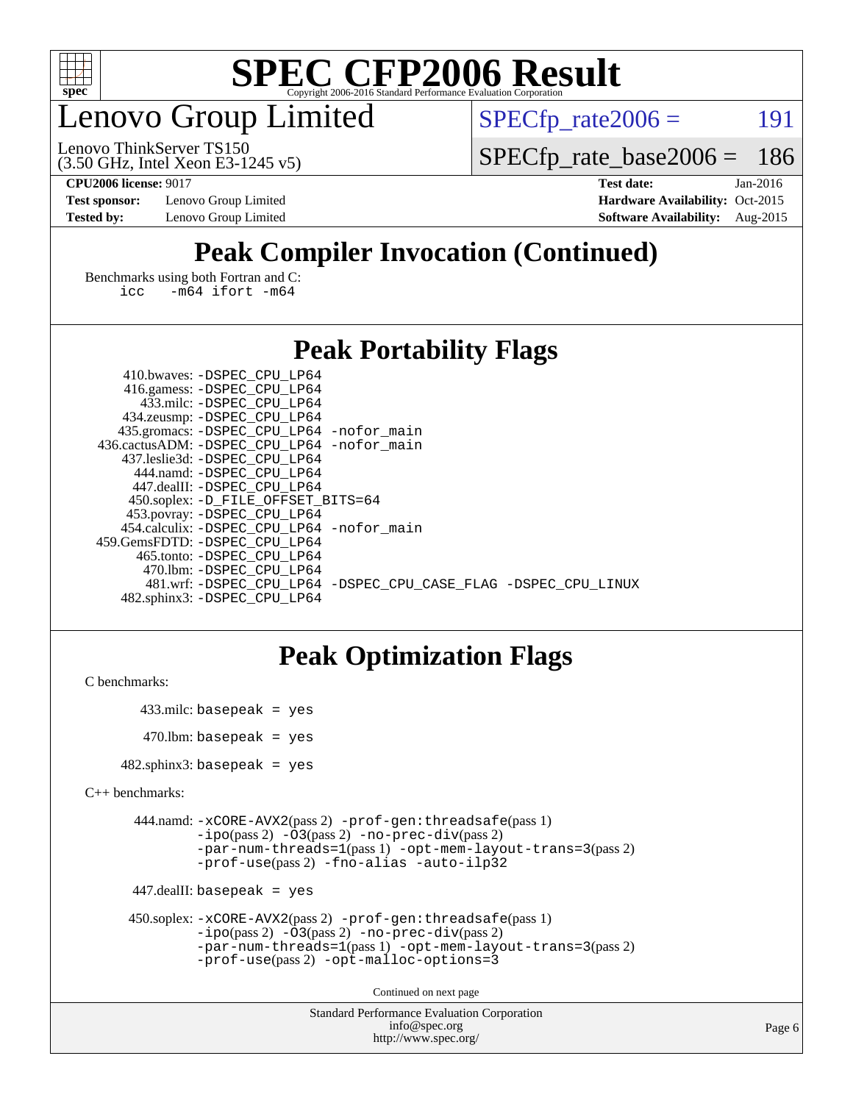

## enovo Group Limited

 $SPECTp_rate2006 = 191$ 

(3.50 GHz, Intel Xeon E3-1245 v5) Lenovo ThinkServer TS150

[SPECfp\\_rate\\_base2006 =](http://www.spec.org/auto/cpu2006/Docs/result-fields.html#SPECfpratebase2006) 186

**[Test sponsor:](http://www.spec.org/auto/cpu2006/Docs/result-fields.html#Testsponsor)** Lenovo Group Limited **[Hardware Availability:](http://www.spec.org/auto/cpu2006/Docs/result-fields.html#HardwareAvailability)** Oct-2015

**[CPU2006 license:](http://www.spec.org/auto/cpu2006/Docs/result-fields.html#CPU2006license)** 9017 **[Test date:](http://www.spec.org/auto/cpu2006/Docs/result-fields.html#Testdate)** Jan-2016 **[Tested by:](http://www.spec.org/auto/cpu2006/Docs/result-fields.html#Testedby)** Lenovo Group Limited **[Software Availability:](http://www.spec.org/auto/cpu2006/Docs/result-fields.html#SoftwareAvailability)** Aug-2015

## **[Peak Compiler Invocation \(Continued\)](http://www.spec.org/auto/cpu2006/Docs/result-fields.html#PeakCompilerInvocation)**

[Benchmarks using both Fortran and C](http://www.spec.org/auto/cpu2006/Docs/result-fields.html#BenchmarksusingbothFortranandC): [icc -m64](http://www.spec.org/cpu2006/results/res2016q1/cpu2006-20160125-38861.flags.html#user_CC_FCpeak_intel_icc_64bit_0b7121f5ab7cfabee23d88897260401c) [ifort -m64](http://www.spec.org/cpu2006/results/res2016q1/cpu2006-20160125-38861.flags.html#user_CC_FCpeak_intel_ifort_64bit_ee9d0fb25645d0210d97eb0527dcc06e)

#### **[Peak Portability Flags](http://www.spec.org/auto/cpu2006/Docs/result-fields.html#PeakPortabilityFlags)**

| 410.bwaves: -DSPEC CPU LP64                                    |  |
|----------------------------------------------------------------|--|
| 416.gamess: -DSPEC_CPU_LP64                                    |  |
| 433.milc: -DSPEC CPU LP64                                      |  |
| 434.zeusmp: -DSPEC_CPU_LP64                                    |  |
| 435.gromacs: -DSPEC_CPU_LP64 -nofor_main                       |  |
| 436.cactusADM: -DSPEC CPU LP64 -nofor main                     |  |
| 437.leslie3d: -DSPEC CPU LP64                                  |  |
| 444.namd: - DSPEC_CPU LP64                                     |  |
| 447.dealII: -DSPEC CPU LP64                                    |  |
| 450.soplex: -D_FILE_OFFSET_BITS=64                             |  |
| 453.povray: -DSPEC_CPU_LP64                                    |  |
| 454.calculix: - DSPEC CPU LP64 - nofor main                    |  |
| 459.GemsFDTD: -DSPEC CPU LP64                                  |  |
| 465.tonto: -DSPEC CPU LP64                                     |  |
| 470.1bm: - DSPEC CPU LP64                                      |  |
| 481.wrf: -DSPEC CPU_LP64 -DSPEC_CPU_CASE_FLAG -DSPEC_CPU_LINUX |  |
| 482.sphinx3: -DSPEC CPU LP64                                   |  |

### **[Peak Optimization Flags](http://www.spec.org/auto/cpu2006/Docs/result-fields.html#PeakOptimizationFlags)**

```
C benchmarks:
```

```
 433.milc: basepeak = yes
470.lbm: basepeak = yes
```
482.sphinx3: basepeak = yes

```
C++ benchmarks:
```

```
 444.namd: -xCORE-AVX2(pass 2) -prof-gen:threadsafe(pass 1)
         -i\text{po}(pass 2) -\overline{O}3(pass 2)-no-prec-div(pass 2)
         -par-num-threads=1(pass 1) -opt-mem-layout-trans=3(pass 2)
         -prof-use(pass 2) -fno-alias -auto-ilp32
```

```
 447.dealII: basepeak = yes
```

```
 450.soplex: -xCORE-AVX2(pass 2) -prof-gen:threadsafe(pass 1)
         -ipo(pass 2) -O3(pass 2) -no-prec-div(pass 2)
         -par-num-threads=1(pass 1) -opt-mem-layout-trans=3(pass 2)
         -prof-use(pass 2) -opt-malloc-options=3
```
Continued on next page

```
Standard Performance Evaluation Corporation
              info@spec.org
           http://www.spec.org/
```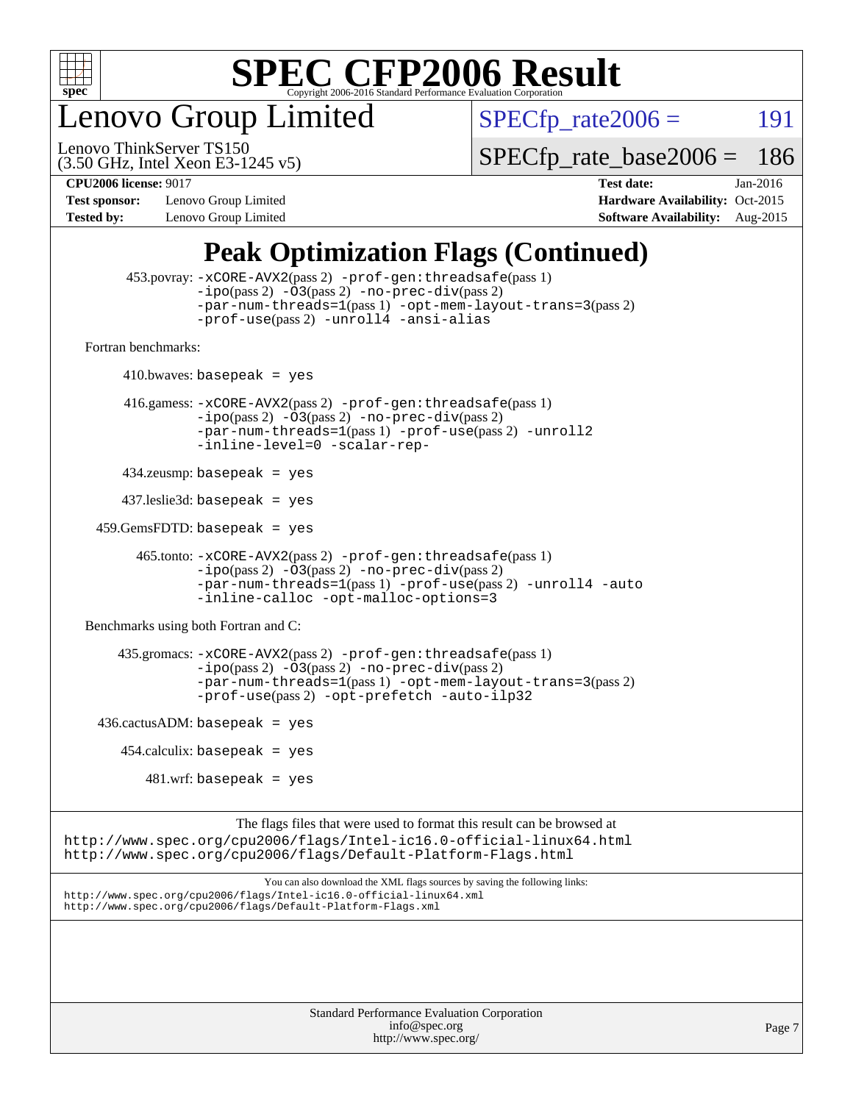

enovo Group Limited

 $SPECTp_rate2006 = 191$ 

(3.50 GHz, Intel Xeon E3-1245 v5) Lenovo ThinkServer TS150

[SPECfp\\_rate\\_base2006 =](http://www.spec.org/auto/cpu2006/Docs/result-fields.html#SPECfpratebase2006) 186

**[Test sponsor:](http://www.spec.org/auto/cpu2006/Docs/result-fields.html#Testsponsor)** Lenovo Group Limited **[Hardware Availability:](http://www.spec.org/auto/cpu2006/Docs/result-fields.html#HardwareAvailability)** Oct-2015

**[CPU2006 license:](http://www.spec.org/auto/cpu2006/Docs/result-fields.html#CPU2006license)** 9017 **[Test date:](http://www.spec.org/auto/cpu2006/Docs/result-fields.html#Testdate)** Jan-2016 **[Tested by:](http://www.spec.org/auto/cpu2006/Docs/result-fields.html#Testedby)** Lenovo Group Limited **[Software Availability:](http://www.spec.org/auto/cpu2006/Docs/result-fields.html#SoftwareAvailability)** Aug-2015

## **[Peak Optimization Flags \(Continued\)](http://www.spec.org/auto/cpu2006/Docs/result-fields.html#PeakOptimizationFlags)**

```
 453.povray: -xCORE-AVX2(pass 2) -prof-gen:threadsafe(pass 1)
                   -i\text{po}(pass 2) -\overset{\sim}{O}3(pass 2)-no-prec-div(pass 2)
                   -par-num-threads=1(pass 1) -opt-mem-layout-trans=3(pass 2)
                   -prof-use(pass 2) -unroll4 -ansi-alias
   Fortran benchmarks: 
        410.bwaves: basepeak = yes 416.gamess: -xCORE-AVX2(pass 2) -prof-gen:threadsafe(pass 1)
                   -ipo(pass 2) -O3(pass 2) -no-prec-div(pass 2)
                   -par-num-threads=1(pass 1) -prof-use(pass 2) -unroll2
                   -inline-level=0 -scalar-rep-
         434.zeusmp: basepeak = yes
         437.leslie3d: basepeak = yes
     459.GemsFDTD: basepeak = yes
           465.tonto: -xCORE-AVX2(pass 2) -prof-gen:threadsafe(pass 1)
                   -i\text{po}(pass 2) -03(pass 2)-no-prec-div(pass 2)
                   -par-num-threads=1(pass 1) -prof-use(pass 2) -unroll4 -auto
                   -inline-calloc -opt-malloc-options=3
   Benchmarks using both Fortran and C: 
         435.gromacs: -xCORE-AVX2(pass 2) -prof-gen:threadsafe(pass 1)
                   -i\text{po}(pass 2) -\tilde{O}3(pass 2)-no-prec-div(pass 2)
                   -par-num-threads=1(pass 1) -opt-mem-layout-trans=3(pass 2)
                   -prof-use(pass 2) -opt-prefetch -auto-ilp32
    436.cactusADM:basepeak = yes454.calculix: basepeak = yes
            481 \text{.m}: basepeak = yes
                         The flags files that were used to format this result can be browsed at
http://www.spec.org/cpu2006/flags/Intel-ic16.0-official-linux64.html
http://www.spec.org/cpu2006/flags/Default-Platform-Flags.html
                             You can also download the XML flags sources by saving the following links:
http://www.spec.org/cpu2006/flags/Intel-ic16.0-official-linux64.xml
http://www.spec.org/cpu2006/flags/Default-Platform-Flags.xml
```